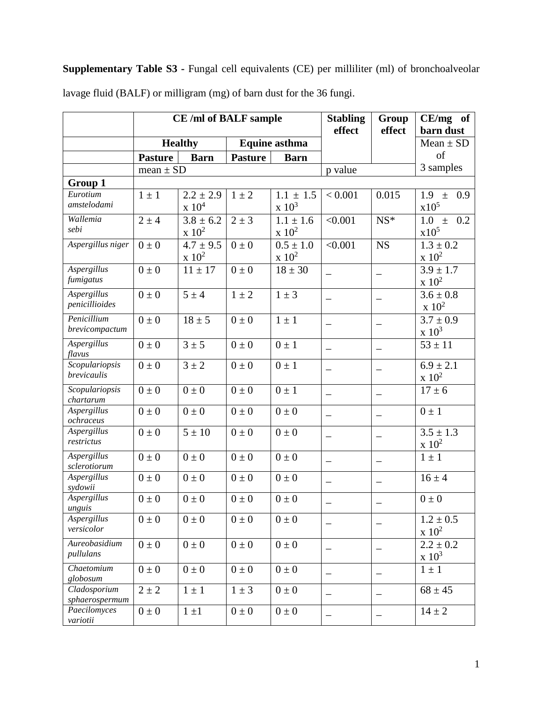## **Supplementary Table S3 -** Fungal cell equivalents (CE) per milliliter (ml) of bronchoalveolar lavage fluid (BALF) or milligram (mg) of barn dust for the 36 fungi.

|                                      |                | CE /ml of BALF sample             |                      | <b>Stabling</b><br>effect    | Group<br>effect          | $CE/mg$ of<br>barn dust |                              |
|--------------------------------------|----------------|-----------------------------------|----------------------|------------------------------|--------------------------|-------------------------|------------------------------|
|                                      | <b>Healthy</b> |                                   | <b>Equine asthma</b> |                              |                          |                         | $Mean \pm SD$                |
|                                      | <b>Pasture</b> | <b>Barn</b>                       | <b>Pasture</b>       | <b>Barn</b>                  |                          |                         | of                           |
|                                      | mean $\pm$ SD  |                                   |                      |                              | p value                  |                         | 3 samples                    |
| Group 1                              |                |                                   |                      |                              |                          |                         |                              |
| Eurotium                             | $1 \pm 1$      | $2.2 \pm 2.9$                     | $1 \pm 2$            | $1.1 \pm 1.5$                | < 0.001                  | 0.015                   | 0.9<br>1.9<br>$\pm$          |
| amstelodami                          |                | $\ge 10^4$                        |                      | $\mathrm{x}$ 10 <sup>3</sup> |                          |                         | x10 <sup>5</sup>             |
| Wallemia                             | $2 \pm 4$      | $\frac{1}{3.8} \pm 6.2$           | $2 \pm 3$            | $1.1 \pm 1.6$                | < 0.001                  | $NS*$                   | 1.0<br>0.2<br>$\pm$          |
| sebi                                 |                | $\ge 10^2$                        |                      | $\rm x\;10^2$                |                          |                         | x10 <sup>5</sup>             |
| Aspergillus niger                    | $0 \pm 0$      | $\frac{4.7 \pm 9.5}{4.7 \pm 9.5}$ | $0\pm 0$             | $0.5 \pm 1.0$                | < 0.001                  | <b>NS</b>               | $1.3 \pm 0.2$                |
|                                      |                | $\ge 10^2$                        |                      | $\mathrm{x}$ 10 <sup>2</sup> |                          |                         | $\ge 10^2$                   |
| <b>Aspergillus</b>                   | $0 \pm 0$      | $11 \pm 17$                       | $0 \pm 0$            | $18 \pm 30$                  |                          |                         | $3.9 \pm 1.7$                |
| fumigatus                            |                |                                   |                      |                              |                          |                         |                              |
|                                      |                |                                   |                      |                              |                          |                         | $\ge 10^2$                   |
| <b>Aspergillus</b><br>penicillioides | $0\pm 0$       | $5 \pm 4$                         | $1 \pm 2$            | $1 \pm 3$                    | $\qquad \qquad -$        |                         | $3.6 \pm 0.8$                |
|                                      |                |                                   |                      |                              |                          |                         | $\ge 10^2$                   |
| Penicillium<br>brevicompactum        | $0\pm 0$       | $18 \pm 5$                        | $0\pm 0$             | $1 \pm 1$                    | —                        | —                       | $3.7 \pm 0.9$                |
|                                      |                |                                   |                      |                              |                          |                         | $\mathrm{x}$ 10 <sup>3</sup> |
| Aspergillus                          | $0 \pm 0$      | $3 \pm 5$                         | $0 \pm 0$            | $0 \pm 1$                    | $\qquad \qquad -$        | —                       | $53 \pm 11$                  |
| flavus<br>Scopulariopsis             |                | $3 \pm 2$                         |                      |                              |                          |                         |                              |
| brevicaulis                          | $0 \pm 0$      |                                   | $0 \pm 0$            | $0 \pm 1$                    |                          |                         | $6.9 \pm 2.1$<br>$\ge 10^2$  |
|                                      |                |                                   |                      |                              |                          |                         |                              |
| Scopulariopsis<br>chartarum          | $0\pm 0$       | $0\pm 0$                          | $0\pm 0$             | $0 \pm 1$                    | $\overline{\phantom{0}}$ |                         | $17 \pm 6$                   |
| Aspergillus                          | $0 \pm 0$      | $0\pm 0$                          | $0 \pm 0$            | $0\pm 0$                     |                          |                         | $0 \pm 1$                    |
| ochraceus                            |                |                                   |                      |                              | $\qquad \qquad -$        | $\qquad \qquad -$       |                              |
| Aspergillus                          | $0 \pm 0$      | $5 \pm 10$                        | $0\pm 0$             | $0 \pm 0$                    | $\qquad \qquad -$        |                         | $3.5 \pm 1.3$                |
| restrictus                           |                |                                   |                      |                              |                          |                         | $\ge 10^2$                   |
| Aspergillus                          | $0\pm 0$       | $0\pm 0$                          | $0\pm 0$             | $0\pm 0$                     | $\qquad \qquad -$        | $\qquad \qquad -$       | $1 \pm 1$                    |
| sclerotiorum                         |                |                                   |                      |                              |                          |                         |                              |
| Aspergillus                          | $0 \pm 0$      | $0\pm 0$                          | $0\pm 0$             | $0 \pm 0$                    | $\qquad \qquad -$        | $\qquad \qquad -$       | $16 \pm 4$                   |
| sydowii                              |                |                                   |                      |                              |                          |                         |                              |
| Aspergillus<br>unguis                | $0 \pm 0$      | $0\pm0$                           | $0 \pm 0$            | $0\pm0$                      |                          |                         | $0 \pm 0$                    |
| Aspergillus                          | $0 \pm 0$      | $0 \pm 0$                         | $0 \pm 0$            | $0\pm 0$                     |                          |                         | $1.2 \pm 0.5$                |
| versicolor                           |                |                                   |                      |                              |                          |                         | $\ge 10^2$                   |
| Aureobasidium                        | $0 \pm 0$      | $0 \pm 0$                         | $0 \pm 0$            | $0 \pm 0$                    |                          |                         | $2.2 \pm 0.2$                |
| pullulans                            |                |                                   |                      |                              | -                        |                         | $\mathrm{x}$ 10 <sup>3</sup> |
| Chaetomium                           | $0 \pm 0$      | $0 \pm 0$                         | $0 \pm 0$            | $0 \pm 0$                    |                          |                         | $1 \pm 1$                    |
| globosum                             |                |                                   |                      |                              | $\overline{\phantom{0}}$ | $\equiv$                |                              |
| Cladosporium                         | $2 \pm 2$      | $1\pm1$                           | $1 \pm 3$            | $0 \pm 0$                    |                          |                         | $68 \pm 45$                  |
| sphaerospermum                       |                |                                   |                      |                              | $\qquad \qquad -$        | -                       |                              |
| Paecilomyces                         | $0 \pm 0$      | $1 \pm 1$                         | $0\pm0$              | $0 \pm 0$                    | $\qquad \qquad -$        | $\qquad \qquad -$       | $14 \pm 2$                   |
| variotii                             |                |                                   |                      |                              |                          |                         |                              |